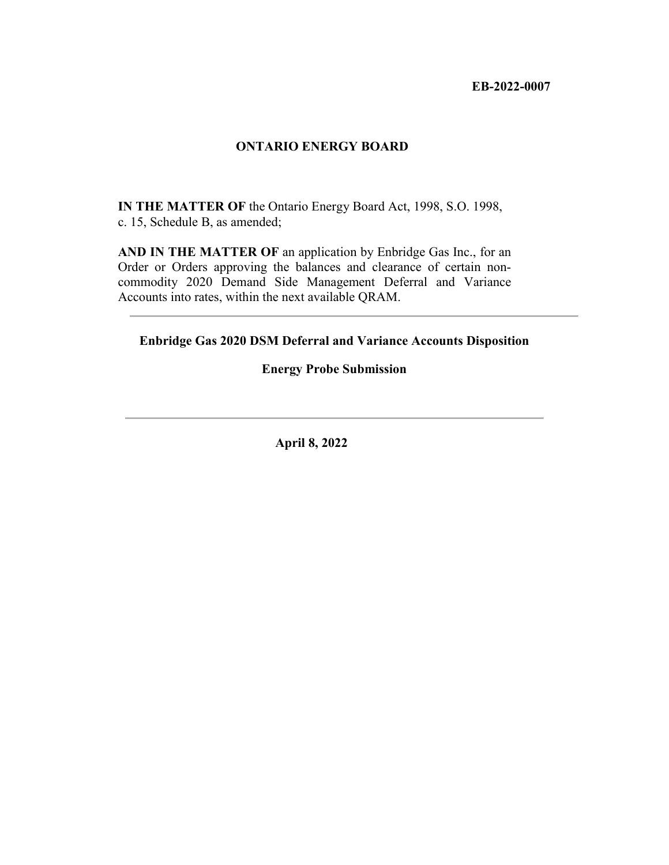**EB-2022-0007** 

### **ONTARIO ENERGY BOARD**

**IN THE MATTER OF** the Ontario Energy Board Act, 1998, S.O. 1998, c. 15, Schedule B, as amended;

**AND IN THE MATTER OF** an application by Enbridge Gas Inc., for an Order or Orders approving the balances and clearance of certain noncommodity 2020 Demand Side Management Deferral and Variance Accounts into rates, within the next available QRAM.

**Enbridge Gas 2020 DSM Deferral and Variance Accounts Disposition** 

# **Energy Probe Submission**

**April 8, 2022**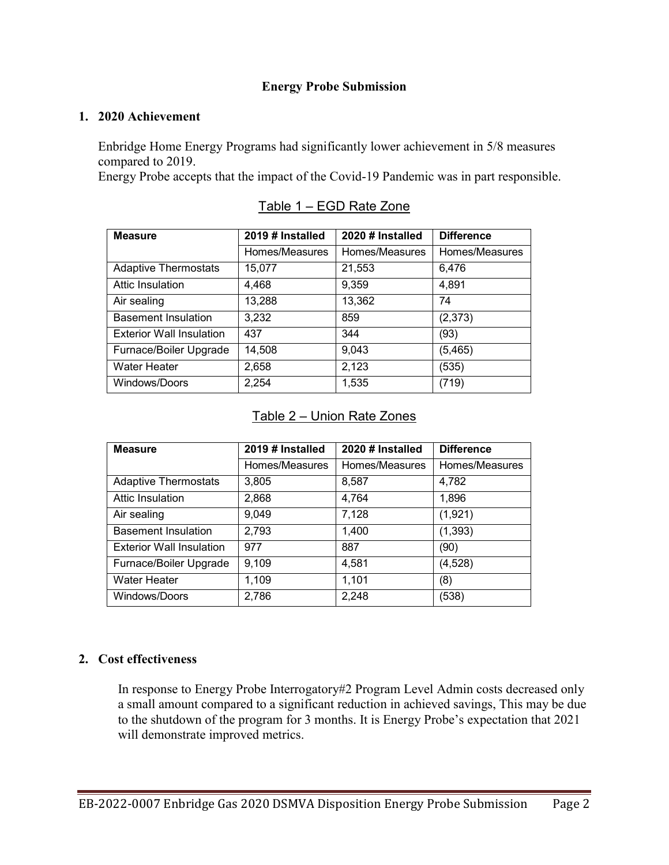# **Energy Probe Submission**

#### **1. 2020 Achievement**

Enbridge Home Energy Programs had significantly lower achievement in 5/8 measures compared to 2019.

Energy Probe accepts that the impact of the Covid-19 Pandemic was in part responsible.

| <b>Measure</b>                  | 2019 # Installed | 2020 # Installed | <b>Difference</b> |
|---------------------------------|------------------|------------------|-------------------|
|                                 | Homes/Measures   | Homes/Measures   | Homes/Measures    |
| <b>Adaptive Thermostats</b>     | 15,077           | 21,553           | 6,476             |
| Attic Insulation                | 4,468            | 9,359            | 4,891             |
| Air sealing                     | 13,288           | 13,362           | 74                |
| <b>Basement Insulation</b>      | 3,232            | 859              | (2,373)           |
| <b>Exterior Wall Insulation</b> | 437              | 344              | (93)              |
| Furnace/Boiler Upgrade          | 14,508           | 9,043            | (5,465)           |
| <b>Water Heater</b>             | 2,658            | 2,123            | (535)             |
| Windows/Doors                   | 2,254            | 1,535            | (719)             |

|  | Table 1 – EGD Rate Zone |  |  |  |  |
|--|-------------------------|--|--|--|--|
|--|-------------------------|--|--|--|--|

## Table 2 – Union Rate Zones

| <b>Measure</b>                  | 2019 # Installed | 2020 # Installed | <b>Difference</b> |
|---------------------------------|------------------|------------------|-------------------|
|                                 | Homes/Measures   | Homes/Measures   | Homes/Measures    |
| <b>Adaptive Thermostats</b>     | 3,805            | 8,587            | 4,782             |
| Attic Insulation                | 2,868            | 4,764            | 1,896             |
| Air sealing                     | 9,049            | 7,128            | (1,921)           |
| <b>Basement Insulation</b>      | 2,793            | 1,400            | (1, 393)          |
| <b>Exterior Wall Insulation</b> | 977              | 887              | (90)              |
| Furnace/Boiler Upgrade          | 9,109            | 4,581            | (4, 528)          |
| <b>Water Heater</b>             | 1,109            | 1,101            | (8)               |
| Windows/Doors                   | 2,786            | 2,248            | (538)             |

## **2. Cost effectiveness**

In response to Energy Probe Interrogatory#2 Program Level Admin costs decreased only a small amount compared to a significant reduction in achieved savings, This may be due to the shutdown of the program for 3 months. It is Energy Probe's expectation that 2021 will demonstrate improved metrics.